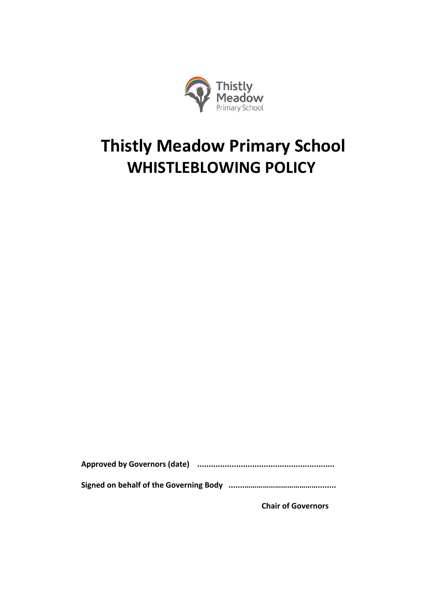

# **Thistly Meadow Primary School WHISTLEBLOWING POLICY**

**Approved by Governors (date) ............................................................**

**Signed on behalf of the Governing Body .......………………………………........**

**Chair of Governors**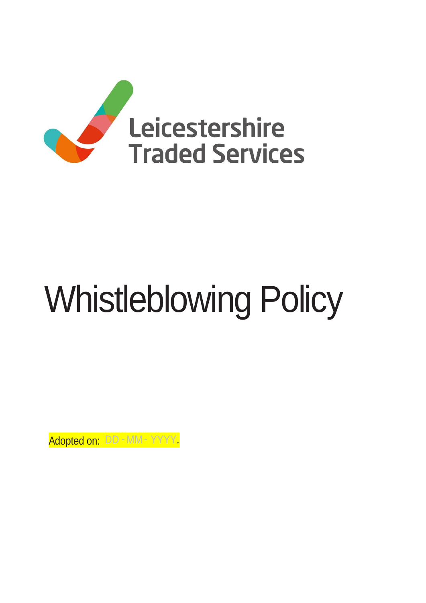

# Whistleblowing Policy

Adopted on: DD - MM - YYYY.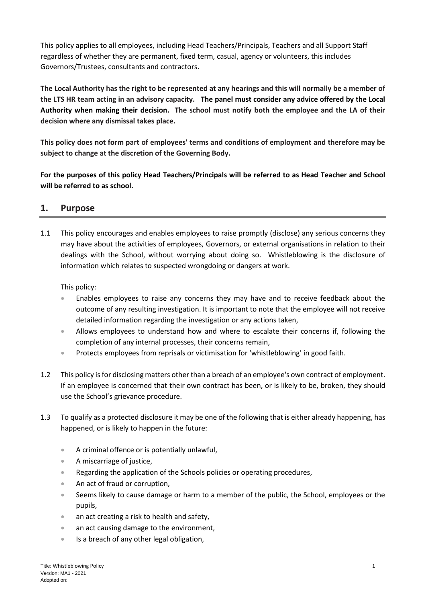This policy applies to all employees, including Head Teachers/Principals, Teachers and all Support Staff regardless of whether they are permanent, fixed term, casual, agency or volunteers, this includes Governors/Trustees, consultants and contractors.

**The Local Authority has the right to be represented at any hearings and this will normally be a member of the LTS HR team acting in an advisory capacity. The panel must consider any advice offered by the Local Authority when making their decision. The school must notify both the employee and the LA of their decision where any dismissal takes place.** 

**This policy does not form part of employees' terms and conditions of employment and therefore may be subject to change at the discretion of the Governing Body.** 

**For the purposes of this policy Head Teachers/Principals will be referred to as Head Teacher and School will be referred to as school.**

# **1. Purpose**

1.1 This policy encourages and enables employees to raise promptly (disclose) any serious concerns they may have about the activities of employees, Governors, or external organisations in relation to their dealings with the School, without worrying about doing so. Whistleblowing is the disclosure of information which relates to suspected wrongdoing or dangers at work.

This policy:

- Enables employees to raise any concerns they may have and to receive feedback about the outcome of any resulting investigation. It is important to note that the employee will not receive detailed information regarding the investigation or any actions taken,
- Allows employees to understand how and where to escalate their concerns if, following the completion of any internal processes, their concerns remain,
- **•** Protects employees from reprisals or victimisation for 'whistleblowing' in good faith.
- 1.2 This policy is for disclosing matters other than a breach of an employee's own contract of employment. If an employee is concerned that their own contract has been, or is likely to be, broken, they should use the School's grievance procedure.
- 1.3 To qualify as a protected disclosure it may be one of the following that is either already happening, has happened, or is likely to happen in the future:
	- A criminal offence or is potentially unlawful,
	- A miscarriage of justice,
	- **Regarding the application of the Schools policies or operating procedures,**
	- An act of fraud or corruption,
	- Seems likely to cause damage or harm to a member of the public, the School, employees or the pupils,
	- an act creating a risk to health and safety,
	- an act causing damage to the environment,
	- **Is a breach of any other legal obligation,**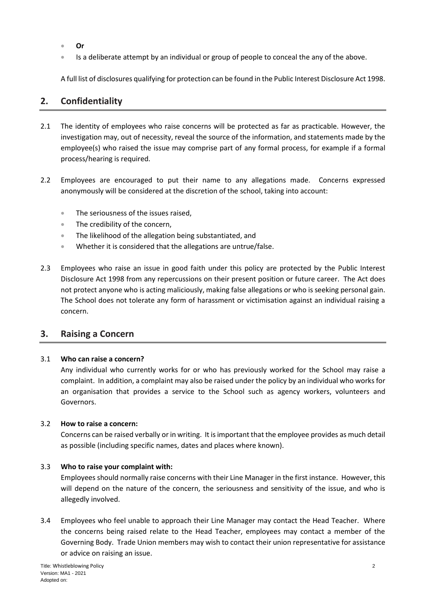- **Or**
- Is a deliberate attempt by an individual or group of people to conceal the any of the above.

A full list of disclosures qualifying for protection can be found in the Public Interest Disclosure Act 1998.

# **2. Confidentiality**

- 2.1 The identity of employees who raise concerns will be protected as far as practicable. However, the investigation may, out of necessity, reveal the source of the information, and statements made by the employee(s) who raised the issue may comprise part of any formal process, for example if a formal process/hearing is required.
- 2.2 Employees are encouraged to put their name to any allegations made. Concerns expressed anonymously will be considered at the discretion of the school, taking into account:
	- The seriousness of the issues raised,
	- The credibility of the concern,
	- **The likelihood of the allegation being substantiated, and**
	- Whether it is considered that the allegations are untrue/false.
- 2.3 Employees who raise an issue in good faith under this policy are protected by the Public Interest Disclosure Act 1998 from any repercussions on their present position or future career. The Act does not protect anyone who is acting maliciously, making false allegations or who is seeking personal gain. The School does not tolerate any form of harassment or victimisation against an individual raising a concern.

### **3. Raising a Concern**

#### 3.1 **Who can raise a concern?**

Any individual who currently works for or who has previously worked for the School may raise a complaint. In addition, a complaint may also be raised under the policy by an individual who works for an organisation that provides a service to the School such as agency workers, volunteers and Governors.

#### 3.2 **How to raise a concern:**

Concerns can be raised verbally or in writing. It is important that the employee provides as much detail as possible (including specific names, dates and places where known).

#### 3.3 **Who to raise your complaint with:**

Employees should normally raise concerns with their Line Manager in the first instance. However, this will depend on the nature of the concern, the seriousness and sensitivity of the issue, and who is allegedly involved.

3.4 Employees who feel unable to approach their Line Manager may contact the Head Teacher. Where the concerns being raised relate to the Head Teacher, employees may contact a member of the Governing Body. Trade Union members may wish to contact their union representative for assistance or advice on raising an issue.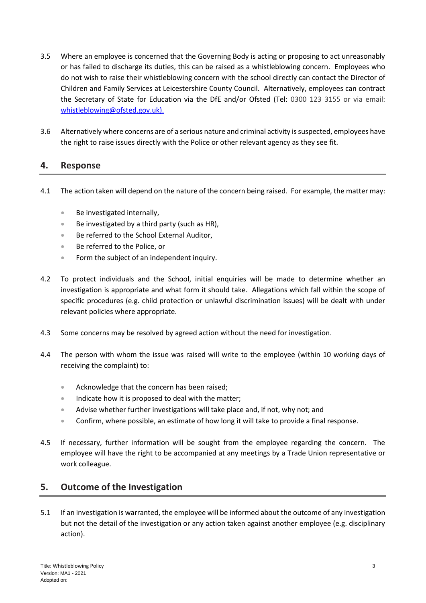- 3.5 Where an employee is concerned that the Governing Body is acting or proposing to act unreasonably or has failed to discharge its duties, this can be raised as a whistleblowing concern. Employees who do not wish to raise their whistleblowing concern with the school directly can contact the Director of Children and Family Services at Leicestershire County Council. Alternatively, employees can contract the Secretary of State for Education via the DfE and/or Ofsted (Tel: 0300 123 3155 or via email: [whistleblowing@ofsted.gov.uk\).](mailto:whistleblowing@ofsted.gov.uk).)
- 3.6 Alternatively where concerns are of a serious nature and criminal activity is suspected, employees have the right to raise issues directly with the Police or other relevant agency as they see fit.

## **4. Response**

- 4.1 The action taken will depend on the nature of the concern being raised. For example, the matter may:
	- Be investigated internally,
	- $\bullet$  Be investigated by a third party (such as HR),
	- Be referred to the School External Auditor,
	- Be referred to the Police, or
	- **Form the subject of an independent inquiry.**
- 4.2 To protect individuals and the School, initial enquiries will be made to determine whether an investigation is appropriate and what form it should take. Allegations which fall within the scope of specific procedures (e.g. child protection or unlawful discrimination issues) will be dealt with under relevant policies where appropriate.
- 4.3 Some concerns may be resolved by agreed action without the need for investigation.
- 4.4 The person with whom the issue was raised will write to the employee (within 10 working days of receiving the complaint) to:
	- **Acknowledge that the concern has been raised;**
	- **Indicate how it is proposed to deal with the matter;**
	- Advise whether further investigations will take place and, if not, why not; and
	- Confirm, where possible, an estimate of how long it will take to provide a final response.
- 4.5 If necessary, further information will be sought from the employee regarding the concern. The employee will have the right to be accompanied at any meetings by a Trade Union representative or work colleague.

# **5. Outcome of the Investigation**

5.1 If an investigation is warranted, the employee will be informed about the outcome of any investigation but not the detail of the investigation or any action taken against another employee (e.g. disciplinary action).